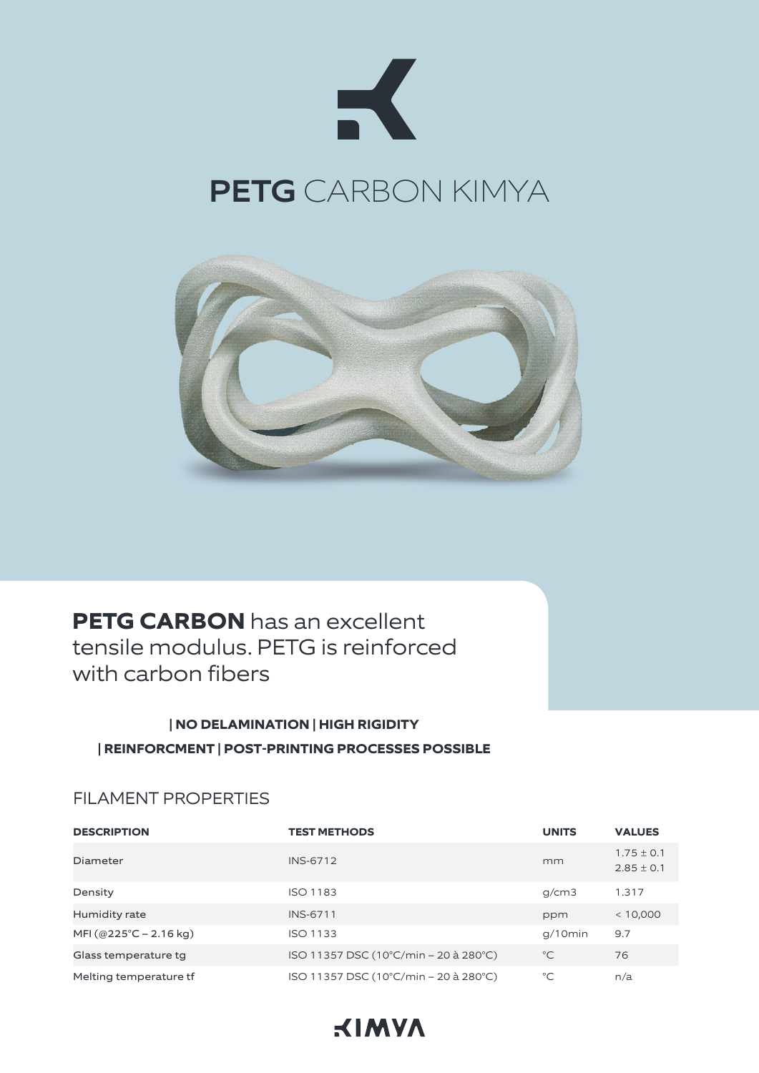



# **PETG CARBON** has an excellent tensile modulus. PETG is reinforced with carbon fibers

# **| NO DELAMINATION | HIGH RIGIDITY | REINFORCMENT | POST-PRINTING PROCESSES POSSIBLE**

#### FILAMENT PROPERTIES

| <b>DESCRIPTION</b>     | <b>TEST METHODS</b>                   | <b>UNITS</b> | <b>VALUES</b>                    |
|------------------------|---------------------------------------|--------------|----------------------------------|
| Diameter               | <b>INS-6712</b>                       | mm           | $1.75 \pm 0.1$<br>$2.85 \pm 0.1$ |
| Density                | <b>ISO 1183</b>                       | g/cm3        | 1.317                            |
| Humidity rate          | <b>INS-6711</b>                       | ppm          | < 10,000                         |
| MFI (@225°C – 2.16 kg) | <b>ISO 1133</b>                       | $q/10$ min   | 9.7                              |
| Glass temperature tg   | ISO 11357 DSC (10°C/min – 20 à 280°C) | $^{\circ}C$  | 76                               |
| Melting temperature tf | ISO 11357 DSC (10°C/min – 20 à 280°C) | $^{\circ}C$  | n/a                              |